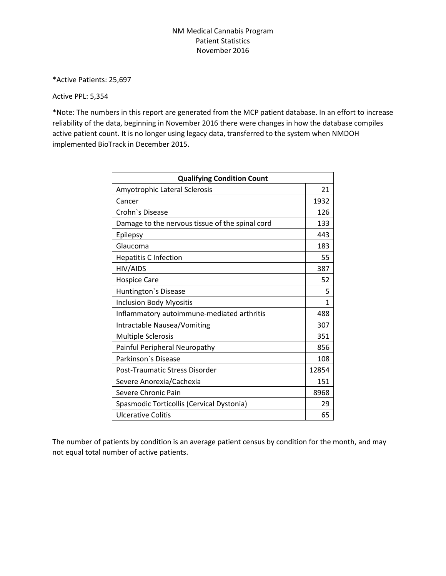## NM Medical Cannabis Program Patient Statistics November 2016

\*Active Patients: 25,697

## Active PPL: 5,354

\*Note: The numbers in this report are generated from the MCP patient database. In an effort to increase reliability of the data, beginning in November 2016 there were changes in how the database compiles active patient count. It is no longer using legacy data, transferred to the system when NMDOH implemented BioTrack in December 2015.

| <b>Qualifying Condition Count</b>               |       |
|-------------------------------------------------|-------|
| Amyotrophic Lateral Sclerosis                   | 21    |
| Cancer                                          | 1932  |
| Crohn's Disease                                 | 126   |
| Damage to the nervous tissue of the spinal cord | 133   |
| Epilepsy                                        | 443   |
| Glaucoma                                        | 183   |
| <b>Hepatitis C Infection</b>                    | 55    |
| HIV/AIDS                                        | 387   |
| <b>Hospice Care</b>                             | 52    |
| Huntington's Disease                            | 5     |
| <b>Inclusion Body Myositis</b>                  | 1     |
| Inflammatory autoimmune-mediated arthritis      | 488   |
| Intractable Nausea/Vomiting                     | 307   |
| <b>Multiple Sclerosis</b>                       | 351   |
| Painful Peripheral Neuropathy                   | 856   |
| Parkinson's Disease                             | 108   |
| Post-Traumatic Stress Disorder                  | 12854 |
| Severe Anorexia/Cachexia                        | 151   |
| Severe Chronic Pain                             | 8968  |
| Spasmodic Torticollis (Cervical Dystonia)       | 29    |
| Ulcerative Colitis                              | 65    |

The number of patients by condition is an average patient census by condition for the month, and may not equal total number of active patients.